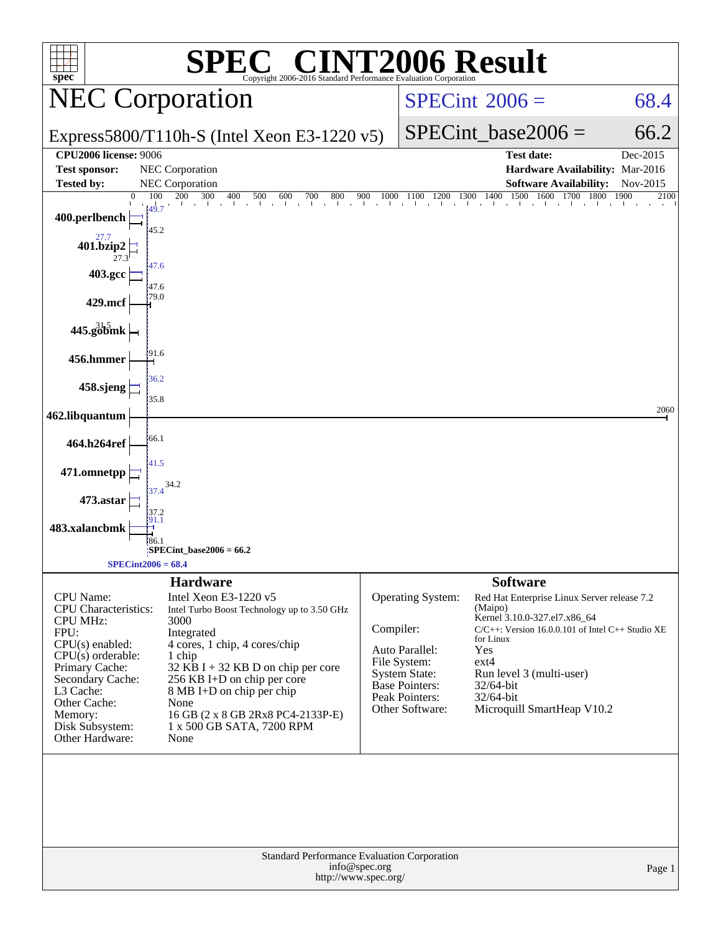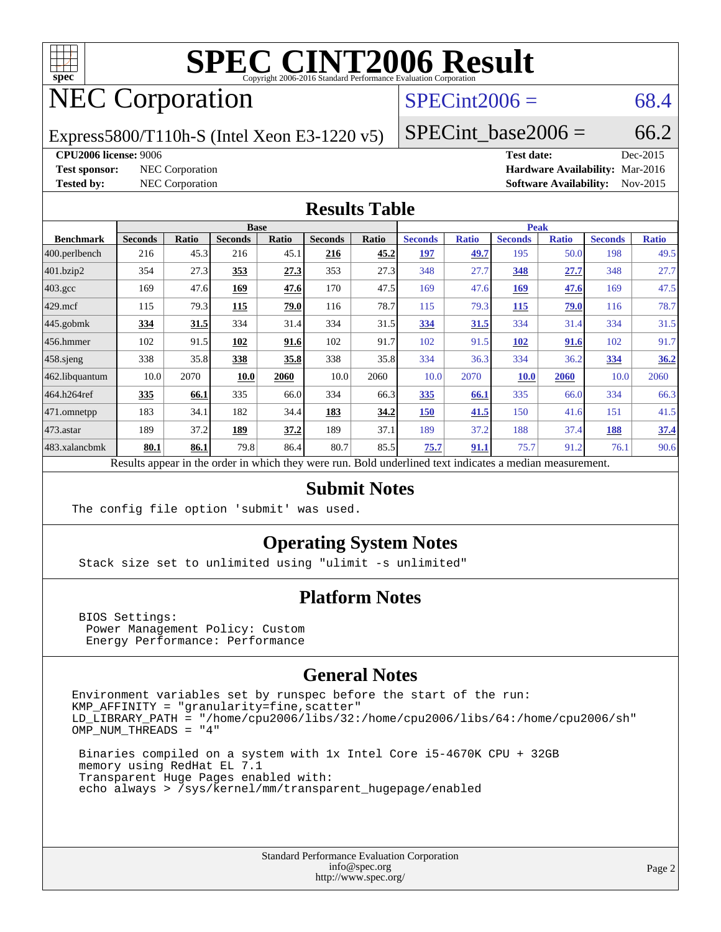

# NEC Corporation

### $SPECint2006 = 68.4$  $SPECint2006 = 68.4$

Express5800/T110h-S (Intel Xeon E3-1220 v5)

SPECint base2006 =  $66.2$ 

#### **[CPU2006 license:](http://www.spec.org/auto/cpu2006/Docs/result-fields.html#CPU2006license)** 9006 **[Test date:](http://www.spec.org/auto/cpu2006/Docs/result-fields.html#Testdate)** Dec-2015

**[Test sponsor:](http://www.spec.org/auto/cpu2006/Docs/result-fields.html#Testsponsor)** NEC Corporation **[Hardware Availability:](http://www.spec.org/auto/cpu2006/Docs/result-fields.html#HardwareAvailability)** Mar-2016 **[Tested by:](http://www.spec.org/auto/cpu2006/Docs/result-fields.html#Testedby)** NEC Corporation **[Software Availability:](http://www.spec.org/auto/cpu2006/Docs/result-fields.html#SoftwareAvailability)** Nov-2015

#### **[Results Table](http://www.spec.org/auto/cpu2006/Docs/result-fields.html#ResultsTable)**

|                                                                                                          | <b>Base</b>    |              |                |       |                | <b>Peak</b> |                |              |                |              |                |              |
|----------------------------------------------------------------------------------------------------------|----------------|--------------|----------------|-------|----------------|-------------|----------------|--------------|----------------|--------------|----------------|--------------|
| <b>Benchmark</b>                                                                                         | <b>Seconds</b> | <b>Ratio</b> | <b>Seconds</b> | Ratio | <b>Seconds</b> | Ratio       | <b>Seconds</b> | <b>Ratio</b> | <b>Seconds</b> | <b>Ratio</b> | <b>Seconds</b> | <b>Ratio</b> |
| $ 400$ .perlbench                                                                                        | 216            | 45.3         | 216            | 45.1  | 216            | 45.2        | 197            | 49.7         | 195            | 50.0         | 198            | 49.5         |
| 401.bzip2                                                                                                | 354            | 27.3         | 353            | 27.3  | 353            | 27.3        | 348            | 27.7         | 348            | 27.7         | 348            | 27.7         |
| $403.\mathrm{gcc}$                                                                                       | 169            | 47.6         | 169            | 47.6  | 170            | 47.5        | 169            | 47.6         | 169            | 47.6         | 169            | 47.5         |
| $429$ .mcf                                                                                               | 115            | 79.3         | 115            | 79.0  | 116            | 78.7        | 115            | 79.3         | 115            | 79.0         | 116            | 78.7         |
| $445$ .gobmk                                                                                             | 334            | 31.5         | 334            | 31.4  | 334            | 31.5        | 334            | 31.5         | 334            | 31.4         | 334            | 31.5         |
| $ 456$ .hmmer                                                                                            | 102            | 91.5         | 102            | 91.6  | 102            | 91.7        | 102            | 91.5         | 102            | 91.6         | 102            | 91.7         |
| $458$ .sjeng                                                                                             | 338            | 35.8         | 338            | 35.8  | 338            | 35.8        | 334            | 36.3         | 334            | 36.2         | 334            | 36.2         |
| 462.libquantum                                                                                           | 10.0           | 2070         | 10.0           | 2060  | 10.0           | 2060        | 10.0           | 2070         | <b>10.0</b>    | 2060         | 10.0           | 2060         |
| 464.h264ref                                                                                              | 335            | 66.1         | 335            | 66.0  | 334            | 66.3        | 335            | 66.1         | 335            | 66.0         | 334            | 66.3         |
| 471.omnetpp                                                                                              | 183            | 34.1         | 182            | 34.4  | 183            | 34.2        | 150            | 41.5         | 150            | 41.6         | 151            | 41.5         |
| $473$ . astar                                                                                            | 189            | 37.2         | 189            | 37.2  | 189            | 37.1        | 189            | 37.2         | 188            | 37.4         | 188            | 37.4         |
| 483.xalancbmk                                                                                            | 80.1           | 86.1         | 79.8           | 86.4  | 80.7           | 85.5        | 75.7           | 91.1         | 75.7           | 91.2         | 76.1           | 90.6         |
| Results appear in the order in which they were run. Bold underlined text indicates a median measurement. |                |              |                |       |                |             |                |              |                |              |                |              |

**[Submit Notes](http://www.spec.org/auto/cpu2006/Docs/result-fields.html#SubmitNotes)**

The config file option 'submit' was used.

#### **[Operating System Notes](http://www.spec.org/auto/cpu2006/Docs/result-fields.html#OperatingSystemNotes)**

Stack size set to unlimited using "ulimit -s unlimited"

#### **[Platform Notes](http://www.spec.org/auto/cpu2006/Docs/result-fields.html#PlatformNotes)**

 BIOS Settings: Power Management Policy: Custom Energy Performance: Performance

#### **[General Notes](http://www.spec.org/auto/cpu2006/Docs/result-fields.html#GeneralNotes)**

Environment variables set by runspec before the start of the run:  $KMP_A$ FFINITY = "granularity=fine, scatter" LD\_LIBRARY\_PATH = "/home/cpu2006/libs/32:/home/cpu2006/libs/64:/home/cpu2006/sh" OMP\_NUM\_THREADS = "4"

 Binaries compiled on a system with 1x Intel Core i5-4670K CPU + 32GB memory using RedHat EL 7.1 Transparent Huge Pages enabled with: echo always > /sys/kernel/mm/transparent\_hugepage/enabled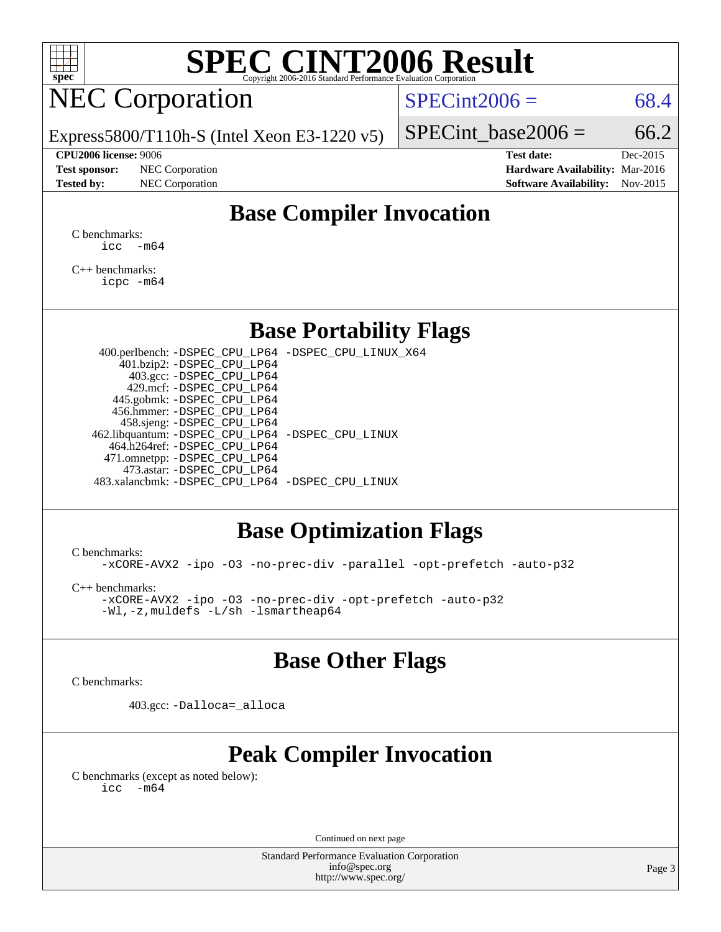

# NEC Corporation

 $SPECint2006 = 68.4$  $SPECint2006 = 68.4$ 

Express5800/T110h-S (Intel Xeon E3-1220 v5)

#### **[CPU2006 license:](http://www.spec.org/auto/cpu2006/Docs/result-fields.html#CPU2006license)** 9006 **[Test date:](http://www.spec.org/auto/cpu2006/Docs/result-fields.html#Testdate)** Dec-2015

**[Test sponsor:](http://www.spec.org/auto/cpu2006/Docs/result-fields.html#Testsponsor)** NEC Corporation **[Hardware Availability:](http://www.spec.org/auto/cpu2006/Docs/result-fields.html#HardwareAvailability)** Mar-2016

SPECint base2006 =  $66.2$ 

**[Tested by:](http://www.spec.org/auto/cpu2006/Docs/result-fields.html#Testedby)** NEC Corporation **[Software Availability:](http://www.spec.org/auto/cpu2006/Docs/result-fields.html#SoftwareAvailability)** Nov-2015

### **[Base Compiler Invocation](http://www.spec.org/auto/cpu2006/Docs/result-fields.html#BaseCompilerInvocation)**

[C benchmarks](http://www.spec.org/auto/cpu2006/Docs/result-fields.html#Cbenchmarks):  $\text{icc}$   $-\text{m64}$ 

[C++ benchmarks:](http://www.spec.org/auto/cpu2006/Docs/result-fields.html#CXXbenchmarks) [icpc -m64](http://www.spec.org/cpu2006/results/res2016q1/cpu2006-20160125-38928.flags.html#user_CXXbase_intel_icpc_64bit_fc66a5337ce925472a5c54ad6a0de310)

#### **[Base Portability Flags](http://www.spec.org/auto/cpu2006/Docs/result-fields.html#BasePortabilityFlags)**

 400.perlbench: [-DSPEC\\_CPU\\_LP64](http://www.spec.org/cpu2006/results/res2016q1/cpu2006-20160125-38928.flags.html#b400.perlbench_basePORTABILITY_DSPEC_CPU_LP64) [-DSPEC\\_CPU\\_LINUX\\_X64](http://www.spec.org/cpu2006/results/res2016q1/cpu2006-20160125-38928.flags.html#b400.perlbench_baseCPORTABILITY_DSPEC_CPU_LINUX_X64) 401.bzip2: [-DSPEC\\_CPU\\_LP64](http://www.spec.org/cpu2006/results/res2016q1/cpu2006-20160125-38928.flags.html#suite_basePORTABILITY401_bzip2_DSPEC_CPU_LP64) 403.gcc: [-DSPEC\\_CPU\\_LP64](http://www.spec.org/cpu2006/results/res2016q1/cpu2006-20160125-38928.flags.html#suite_basePORTABILITY403_gcc_DSPEC_CPU_LP64) 429.mcf: [-DSPEC\\_CPU\\_LP64](http://www.spec.org/cpu2006/results/res2016q1/cpu2006-20160125-38928.flags.html#suite_basePORTABILITY429_mcf_DSPEC_CPU_LP64) 445.gobmk: [-DSPEC\\_CPU\\_LP64](http://www.spec.org/cpu2006/results/res2016q1/cpu2006-20160125-38928.flags.html#suite_basePORTABILITY445_gobmk_DSPEC_CPU_LP64) 456.hmmer: [-DSPEC\\_CPU\\_LP64](http://www.spec.org/cpu2006/results/res2016q1/cpu2006-20160125-38928.flags.html#suite_basePORTABILITY456_hmmer_DSPEC_CPU_LP64) 458.sjeng: [-DSPEC\\_CPU\\_LP64](http://www.spec.org/cpu2006/results/res2016q1/cpu2006-20160125-38928.flags.html#suite_basePORTABILITY458_sjeng_DSPEC_CPU_LP64) 462.libquantum: [-DSPEC\\_CPU\\_LP64](http://www.spec.org/cpu2006/results/res2016q1/cpu2006-20160125-38928.flags.html#suite_basePORTABILITY462_libquantum_DSPEC_CPU_LP64) [-DSPEC\\_CPU\\_LINUX](http://www.spec.org/cpu2006/results/res2016q1/cpu2006-20160125-38928.flags.html#b462.libquantum_baseCPORTABILITY_DSPEC_CPU_LINUX) 464.h264ref: [-DSPEC\\_CPU\\_LP64](http://www.spec.org/cpu2006/results/res2016q1/cpu2006-20160125-38928.flags.html#suite_basePORTABILITY464_h264ref_DSPEC_CPU_LP64) 471.omnetpp: [-DSPEC\\_CPU\\_LP64](http://www.spec.org/cpu2006/results/res2016q1/cpu2006-20160125-38928.flags.html#suite_basePORTABILITY471_omnetpp_DSPEC_CPU_LP64) 473.astar: [-DSPEC\\_CPU\\_LP64](http://www.spec.org/cpu2006/results/res2016q1/cpu2006-20160125-38928.flags.html#suite_basePORTABILITY473_astar_DSPEC_CPU_LP64) 483.xalancbmk: [-DSPEC\\_CPU\\_LP64](http://www.spec.org/cpu2006/results/res2016q1/cpu2006-20160125-38928.flags.html#suite_basePORTABILITY483_xalancbmk_DSPEC_CPU_LP64) [-DSPEC\\_CPU\\_LINUX](http://www.spec.org/cpu2006/results/res2016q1/cpu2006-20160125-38928.flags.html#b483.xalancbmk_baseCXXPORTABILITY_DSPEC_CPU_LINUX)

#### **[Base Optimization Flags](http://www.spec.org/auto/cpu2006/Docs/result-fields.html#BaseOptimizationFlags)**

[C benchmarks](http://www.spec.org/auto/cpu2006/Docs/result-fields.html#Cbenchmarks):

[-xCORE-AVX2](http://www.spec.org/cpu2006/results/res2016q1/cpu2006-20160125-38928.flags.html#user_CCbase_f-xAVX2_5f5fc0cbe2c9f62c816d3e45806c70d7) [-ipo](http://www.spec.org/cpu2006/results/res2016q1/cpu2006-20160125-38928.flags.html#user_CCbase_f-ipo) [-O3](http://www.spec.org/cpu2006/results/res2016q1/cpu2006-20160125-38928.flags.html#user_CCbase_f-O3) [-no-prec-div](http://www.spec.org/cpu2006/results/res2016q1/cpu2006-20160125-38928.flags.html#user_CCbase_f-no-prec-div) [-parallel](http://www.spec.org/cpu2006/results/res2016q1/cpu2006-20160125-38928.flags.html#user_CCbase_f-parallel) [-opt-prefetch](http://www.spec.org/cpu2006/results/res2016q1/cpu2006-20160125-38928.flags.html#user_CCbase_f-opt-prefetch) [-auto-p32](http://www.spec.org/cpu2006/results/res2016q1/cpu2006-20160125-38928.flags.html#user_CCbase_f-auto-p32)

[C++ benchmarks:](http://www.spec.org/auto/cpu2006/Docs/result-fields.html#CXXbenchmarks)

[-xCORE-AVX2](http://www.spec.org/cpu2006/results/res2016q1/cpu2006-20160125-38928.flags.html#user_CXXbase_f-xAVX2_5f5fc0cbe2c9f62c816d3e45806c70d7) [-ipo](http://www.spec.org/cpu2006/results/res2016q1/cpu2006-20160125-38928.flags.html#user_CXXbase_f-ipo) [-O3](http://www.spec.org/cpu2006/results/res2016q1/cpu2006-20160125-38928.flags.html#user_CXXbase_f-O3) [-no-prec-div](http://www.spec.org/cpu2006/results/res2016q1/cpu2006-20160125-38928.flags.html#user_CXXbase_f-no-prec-div) [-opt-prefetch](http://www.spec.org/cpu2006/results/res2016q1/cpu2006-20160125-38928.flags.html#user_CXXbase_f-opt-prefetch) [-auto-p32](http://www.spec.org/cpu2006/results/res2016q1/cpu2006-20160125-38928.flags.html#user_CXXbase_f-auto-p32) [-Wl,-z,muldefs](http://www.spec.org/cpu2006/results/res2016q1/cpu2006-20160125-38928.flags.html#user_CXXbase_link_force_multiple1_74079c344b956b9658436fd1b6dd3a8a) [-L/sh -lsmartheap64](http://www.spec.org/cpu2006/results/res2016q1/cpu2006-20160125-38928.flags.html#user_CXXbase_SmartHeap64_ed4ef857ce90951921efb0d91eb88472)

### **[Base Other Flags](http://www.spec.org/auto/cpu2006/Docs/result-fields.html#BaseOtherFlags)**

[C benchmarks](http://www.spec.org/auto/cpu2006/Docs/result-fields.html#Cbenchmarks):

403.gcc: [-Dalloca=\\_alloca](http://www.spec.org/cpu2006/results/res2016q1/cpu2006-20160125-38928.flags.html#b403.gcc_baseEXTRA_CFLAGS_Dalloca_be3056838c12de2578596ca5467af7f3)

## **[Peak Compiler Invocation](http://www.spec.org/auto/cpu2006/Docs/result-fields.html#PeakCompilerInvocation)**

[C benchmarks \(except as noted below\)](http://www.spec.org/auto/cpu2006/Docs/result-fields.html#Cbenchmarksexceptasnotedbelow):  $\text{icc}$  -m64

Continued on next page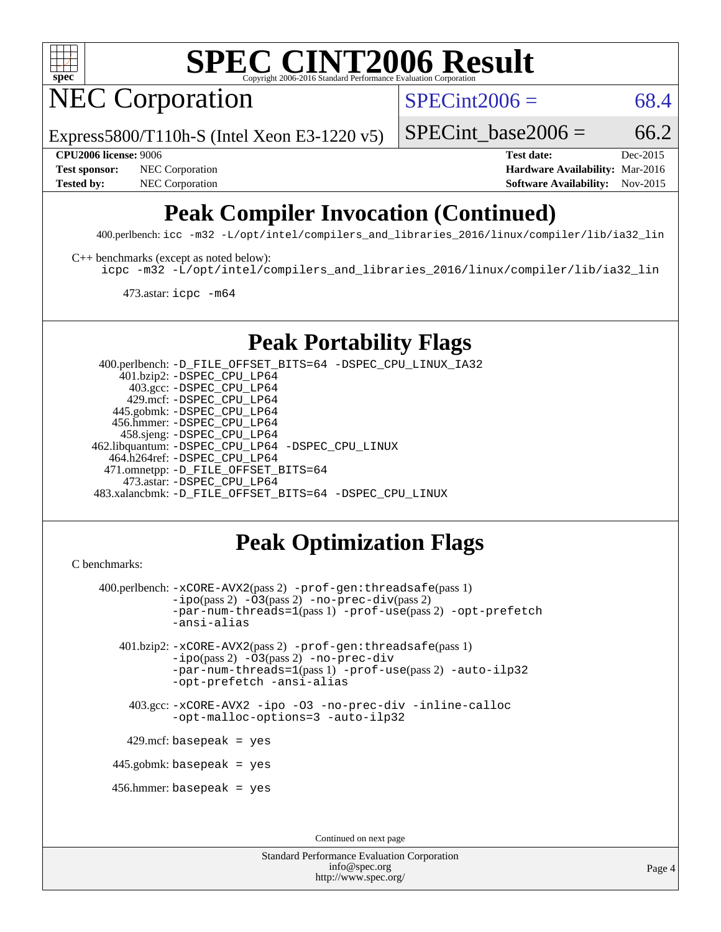

NEC Corporation

 $SPECint2006 = 68.4$  $SPECint2006 = 68.4$ 

Express5800/T110h-S (Intel Xeon E3-1220 v5)

SPECint base2006 =  $66.2$ 

**[CPU2006 license:](http://www.spec.org/auto/cpu2006/Docs/result-fields.html#CPU2006license)** 9006 **[Test date:](http://www.spec.org/auto/cpu2006/Docs/result-fields.html#Testdate)** Dec-2015 **[Test sponsor:](http://www.spec.org/auto/cpu2006/Docs/result-fields.html#Testsponsor)** NEC Corporation **NEC Corporation [Hardware Availability:](http://www.spec.org/auto/cpu2006/Docs/result-fields.html#HardwareAvailability)** Mar-2016 **[Tested by:](http://www.spec.org/auto/cpu2006/Docs/result-fields.html#Testedby)** NEC Corporation **[Software Availability:](http://www.spec.org/auto/cpu2006/Docs/result-fields.html#SoftwareAvailability)** Nov-2015

# **[Peak Compiler Invocation \(Continued\)](http://www.spec.org/auto/cpu2006/Docs/result-fields.html#PeakCompilerInvocation)**

400.perlbench: [icc -m32 -L/opt/intel/compilers\\_and\\_libraries\\_2016/linux/compiler/lib/ia32\\_lin](http://www.spec.org/cpu2006/results/res2016q1/cpu2006-20160125-38928.flags.html#user_peakCCLD400_perlbench_intel_icc_e10256ba5924b668798078a321b0cb3f)

[C++ benchmarks \(except as noted below\):](http://www.spec.org/auto/cpu2006/Docs/result-fields.html#CXXbenchmarksexceptasnotedbelow)

[icpc -m32 -L/opt/intel/compilers\\_and\\_libraries\\_2016/linux/compiler/lib/ia32\\_lin](http://www.spec.org/cpu2006/results/res2016q1/cpu2006-20160125-38928.flags.html#user_CXXpeak_intel_icpc_b4f50a394bdb4597aa5879c16bc3f5c5)

473.astar: [icpc -m64](http://www.spec.org/cpu2006/results/res2016q1/cpu2006-20160125-38928.flags.html#user_peakCXXLD473_astar_intel_icpc_64bit_fc66a5337ce925472a5c54ad6a0de310)

## **[Peak Portability Flags](http://www.spec.org/auto/cpu2006/Docs/result-fields.html#PeakPortabilityFlags)**

 400.perlbench: [-D\\_FILE\\_OFFSET\\_BITS=64](http://www.spec.org/cpu2006/results/res2016q1/cpu2006-20160125-38928.flags.html#user_peakPORTABILITY400_perlbench_file_offset_bits_64_438cf9856305ebd76870a2c6dc2689ab) [-DSPEC\\_CPU\\_LINUX\\_IA32](http://www.spec.org/cpu2006/results/res2016q1/cpu2006-20160125-38928.flags.html#b400.perlbench_peakCPORTABILITY_DSPEC_CPU_LINUX_IA32) 401.bzip2: [-DSPEC\\_CPU\\_LP64](http://www.spec.org/cpu2006/results/res2016q1/cpu2006-20160125-38928.flags.html#suite_peakPORTABILITY401_bzip2_DSPEC_CPU_LP64) 403.gcc: [-DSPEC\\_CPU\\_LP64](http://www.spec.org/cpu2006/results/res2016q1/cpu2006-20160125-38928.flags.html#suite_peakPORTABILITY403_gcc_DSPEC_CPU_LP64) 429.mcf: [-DSPEC\\_CPU\\_LP64](http://www.spec.org/cpu2006/results/res2016q1/cpu2006-20160125-38928.flags.html#suite_peakPORTABILITY429_mcf_DSPEC_CPU_LP64) 445.gobmk: [-DSPEC\\_CPU\\_LP64](http://www.spec.org/cpu2006/results/res2016q1/cpu2006-20160125-38928.flags.html#suite_peakPORTABILITY445_gobmk_DSPEC_CPU_LP64) 456.hmmer: [-DSPEC\\_CPU\\_LP64](http://www.spec.org/cpu2006/results/res2016q1/cpu2006-20160125-38928.flags.html#suite_peakPORTABILITY456_hmmer_DSPEC_CPU_LP64) 458.sjeng: [-DSPEC\\_CPU\\_LP64](http://www.spec.org/cpu2006/results/res2016q1/cpu2006-20160125-38928.flags.html#suite_peakPORTABILITY458_sjeng_DSPEC_CPU_LP64) 462.libquantum: [-DSPEC\\_CPU\\_LP64](http://www.spec.org/cpu2006/results/res2016q1/cpu2006-20160125-38928.flags.html#suite_peakPORTABILITY462_libquantum_DSPEC_CPU_LP64) [-DSPEC\\_CPU\\_LINUX](http://www.spec.org/cpu2006/results/res2016q1/cpu2006-20160125-38928.flags.html#b462.libquantum_peakCPORTABILITY_DSPEC_CPU_LINUX) 464.h264ref: [-DSPEC\\_CPU\\_LP64](http://www.spec.org/cpu2006/results/res2016q1/cpu2006-20160125-38928.flags.html#suite_peakPORTABILITY464_h264ref_DSPEC_CPU_LP64) 471.omnetpp: [-D\\_FILE\\_OFFSET\\_BITS=64](http://www.spec.org/cpu2006/results/res2016q1/cpu2006-20160125-38928.flags.html#user_peakPORTABILITY471_omnetpp_file_offset_bits_64_438cf9856305ebd76870a2c6dc2689ab) 473.astar: [-DSPEC\\_CPU\\_LP64](http://www.spec.org/cpu2006/results/res2016q1/cpu2006-20160125-38928.flags.html#suite_peakPORTABILITY473_astar_DSPEC_CPU_LP64) 483.xalancbmk: [-D\\_FILE\\_OFFSET\\_BITS=64](http://www.spec.org/cpu2006/results/res2016q1/cpu2006-20160125-38928.flags.html#user_peakPORTABILITY483_xalancbmk_file_offset_bits_64_438cf9856305ebd76870a2c6dc2689ab) [-DSPEC\\_CPU\\_LINUX](http://www.spec.org/cpu2006/results/res2016q1/cpu2006-20160125-38928.flags.html#b483.xalancbmk_peakCXXPORTABILITY_DSPEC_CPU_LINUX)

## **[Peak Optimization Flags](http://www.spec.org/auto/cpu2006/Docs/result-fields.html#PeakOptimizationFlags)**

```
C benchmarks:
```

```
 400.perlbench: -xCORE-AVX2(pass 2) -prof-gen:threadsafe(pass 1)
          -i\text{po}(pass 2) -\overline{0}3(pass 2)-no-prec-div(pass 2)
          -par-num-threads=1(pass 1) -prof-use(pass 2) -opt-prefetch
          -ansi-alias
  401.bzip2: -xCORE-AVX2(pass 2) -prof-gen:threadsafe(pass 1)
          -ipo(pass 2) -O3(pass 2) -no-prec-div
          -par-num-threads=1(pass 1) -prof-use(pass 2) -auto-ilp32
          -opt-prefetch -ansi-alias
    403.gcc: -xCORE-AVX2 -ipo -O3 -no-prec-div -inline-calloc
          -opt-malloc-options=3 -auto-ilp32
  429.mcf: basepeak = yes
445.gobmk: basepeak = yes
 456.hmmer: basepeak = yes
                                  Continued on next page
```